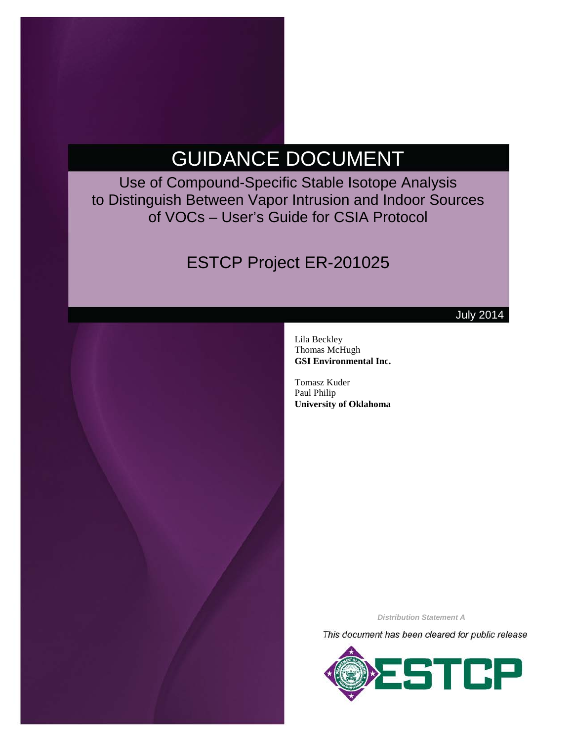# GUIDANCE DOCUMENT

Use of Compound-Specific Stable Isotope Analysis to Distinguish Between Vapor Intrusion and Indoor Sources of VOCs – User's Guide for CSIA Protocol

# ESTCP Project ER-201025



July 2014

Lila Beckley Thomas McHugh **GSI Environmental Inc.**

Tomasz Kuder Paul Philip **University of Oklahoma**

*Distribution Statement A*

This document has been cleared for public release

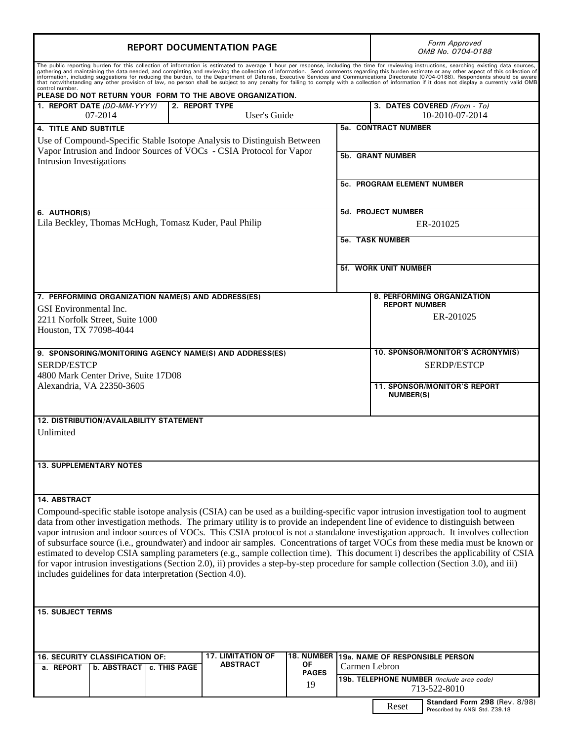| <b>REPORT DOCUMENTATION PAGE</b>                                                                                                                                                                                                                                                                                                                                                                                                                                                                                                                                                                                                                                                                                                                                                                                             |  | Form Approved<br>OMB No. 0704-0188                                       |  |
|------------------------------------------------------------------------------------------------------------------------------------------------------------------------------------------------------------------------------------------------------------------------------------------------------------------------------------------------------------------------------------------------------------------------------------------------------------------------------------------------------------------------------------------------------------------------------------------------------------------------------------------------------------------------------------------------------------------------------------------------------------------------------------------------------------------------------|--|--------------------------------------------------------------------------|--|
| The public reporting burden for this collection of information is estimated to average 1 hour per response, including the time for reviewing instructions, searching existing data sources,<br>gathering and maintaining the data needed, and completing and reviewing the collection of information. Send comments regarding this burden estimate or any other aspect of this collection of<br>information, including suggestions for reducing the burden, to the Department of Defense, Executive Services and Communications Directorate (0704-0188). Respondents should be aware<br>that notwithstanding any other provision<br>control number.                                                                                                                                                                          |  |                                                                          |  |
| PLEASE DO NOT RETURN YOUR FORM TO THE ABOVE ORGANIZATION.<br>1. REPORT DATE (DD-MM-YYYY)<br><b>2. REPORT TYPE</b>                                                                                                                                                                                                                                                                                                                                                                                                                                                                                                                                                                                                                                                                                                            |  | 3. DATES COVERED (From - To)                                             |  |
| 07-2014<br>User's Guide                                                                                                                                                                                                                                                                                                                                                                                                                                                                                                                                                                                                                                                                                                                                                                                                      |  | 10-2010-07-2014                                                          |  |
| <b>4. TITLE AND SUBTITLE</b>                                                                                                                                                                                                                                                                                                                                                                                                                                                                                                                                                                                                                                                                                                                                                                                                 |  | <b>5a. CONTRACT NUMBER</b>                                               |  |
| Use of Compound-Specific Stable Isotope Analysis to Distinguish Between                                                                                                                                                                                                                                                                                                                                                                                                                                                                                                                                                                                                                                                                                                                                                      |  |                                                                          |  |
| Vapor Intrusion and Indoor Sources of VOCs - CSIA Protocol for Vapor<br><b>Intrusion Investigations</b>                                                                                                                                                                                                                                                                                                                                                                                                                                                                                                                                                                                                                                                                                                                      |  | <b>5b. GRANT NUMBER</b>                                                  |  |
|                                                                                                                                                                                                                                                                                                                                                                                                                                                                                                                                                                                                                                                                                                                                                                                                                              |  | <b>5c. PROGRAM ELEMENT NUMBER</b>                                        |  |
|                                                                                                                                                                                                                                                                                                                                                                                                                                                                                                                                                                                                                                                                                                                                                                                                                              |  |                                                                          |  |
| 6. AUTHOR(S)                                                                                                                                                                                                                                                                                                                                                                                                                                                                                                                                                                                                                                                                                                                                                                                                                 |  | <b>5d. PROJECT NUMBER</b>                                                |  |
| Lila Beckley, Thomas McHugh, Tomasz Kuder, Paul Philip                                                                                                                                                                                                                                                                                                                                                                                                                                                                                                                                                                                                                                                                                                                                                                       |  | ER-201025                                                                |  |
|                                                                                                                                                                                                                                                                                                                                                                                                                                                                                                                                                                                                                                                                                                                                                                                                                              |  | <b>5e. TASK NUMBER</b>                                                   |  |
|                                                                                                                                                                                                                                                                                                                                                                                                                                                                                                                                                                                                                                                                                                                                                                                                                              |  | <b>5f. WORK UNIT NUMBER</b>                                              |  |
|                                                                                                                                                                                                                                                                                                                                                                                                                                                                                                                                                                                                                                                                                                                                                                                                                              |  |                                                                          |  |
| 7. PERFORMING ORGANIZATION NAME(S) AND ADDRESS(ES)                                                                                                                                                                                                                                                                                                                                                                                                                                                                                                                                                                                                                                                                                                                                                                           |  | 8. PERFORMING ORGANIZATION<br><b>REPORT NUMBER</b>                       |  |
| <b>GSI</b> Environmental Inc.                                                                                                                                                                                                                                                                                                                                                                                                                                                                                                                                                                                                                                                                                                                                                                                                |  | ER-201025                                                                |  |
| 2211 Norfolk Street, Suite 1000<br>Houston, TX 77098-4044                                                                                                                                                                                                                                                                                                                                                                                                                                                                                                                                                                                                                                                                                                                                                                    |  |                                                                          |  |
|                                                                                                                                                                                                                                                                                                                                                                                                                                                                                                                                                                                                                                                                                                                                                                                                                              |  |                                                                          |  |
| 9. SPONSORING/MONITORING AGENCY NAME(S) AND ADDRESS(ES)                                                                                                                                                                                                                                                                                                                                                                                                                                                                                                                                                                                                                                                                                                                                                                      |  | 10. SPONSOR/MONITOR'S ACRONYM(S)                                         |  |
| <b>SERDP/ESTCP</b>                                                                                                                                                                                                                                                                                                                                                                                                                                                                                                                                                                                                                                                                                                                                                                                                           |  | <b>SERDP/ESTCP</b>                                                       |  |
| 4800 Mark Center Drive, Suite 17D08                                                                                                                                                                                                                                                                                                                                                                                                                                                                                                                                                                                                                                                                                                                                                                                          |  |                                                                          |  |
| Alexandria, VA 22350-3605                                                                                                                                                                                                                                                                                                                                                                                                                                                                                                                                                                                                                                                                                                                                                                                                    |  | <b>11. SPONSOR/MONITOR'S REPORT</b><br><b>NUMBER(S)</b>                  |  |
| <b>12. DISTRIBUTION/AVAILABILITY STATEMENT</b>                                                                                                                                                                                                                                                                                                                                                                                                                                                                                                                                                                                                                                                                                                                                                                               |  |                                                                          |  |
| Unlimited                                                                                                                                                                                                                                                                                                                                                                                                                                                                                                                                                                                                                                                                                                                                                                                                                    |  |                                                                          |  |
|                                                                                                                                                                                                                                                                                                                                                                                                                                                                                                                                                                                                                                                                                                                                                                                                                              |  |                                                                          |  |
| <b>13. SUPPLEMENTARY NOTES</b>                                                                                                                                                                                                                                                                                                                                                                                                                                                                                                                                                                                                                                                                                                                                                                                               |  |                                                                          |  |
| <b>14. ABSTRACT</b>                                                                                                                                                                                                                                                                                                                                                                                                                                                                                                                                                                                                                                                                                                                                                                                                          |  |                                                                          |  |
| Compound-specific stable isotope analysis (CSIA) can be used as a building-specific vapor intrusion investigation tool to augment<br>data from other investigation methods. The primary utility is to provide an independent line of evidence to distinguish between<br>vapor intrusion and indoor sources of VOCs. This CSIA protocol is not a standalone investigation approach. It involves collection<br>of subsurface source (i.e., groundwater) and indoor air samples. Concentrations of target VOCs from these media must be known or<br>estimated to develop CSIA sampling parameters (e.g., sample collection time). This document i) describes the applicability of CSIA<br>for vapor intrusion investigations (Section 2.0), ii) provides a step-by-step procedure for sample collection (Section 3.0), and iii) |  |                                                                          |  |
| includes guidelines for data interpretation (Section 4.0).                                                                                                                                                                                                                                                                                                                                                                                                                                                                                                                                                                                                                                                                                                                                                                   |  |                                                                          |  |
|                                                                                                                                                                                                                                                                                                                                                                                                                                                                                                                                                                                                                                                                                                                                                                                                                              |  |                                                                          |  |
| <b>15. SUBJECT TERMS</b>                                                                                                                                                                                                                                                                                                                                                                                                                                                                                                                                                                                                                                                                                                                                                                                                     |  |                                                                          |  |
| 18. NUMBER<br><b>17. LIMITATION OF</b><br>16. SECURITY CLASSIFICATION OF:                                                                                                                                                                                                                                                                                                                                                                                                                                                                                                                                                                                                                                                                                                                                                    |  | 19a. NAME OF RESPONSIBLE PERSON                                          |  |
| <b>ABSTRACT</b><br>ΟF<br>a. REPORT<br>b. ABSTRACT   c. THIS PAGE                                                                                                                                                                                                                                                                                                                                                                                                                                                                                                                                                                                                                                                                                                                                                             |  | Carmen Lebron                                                            |  |
| <b>PAGES</b><br>19                                                                                                                                                                                                                                                                                                                                                                                                                                                                                                                                                                                                                                                                                                                                                                                                           |  | 19b. TELEPHONE NUMBER (Include area code)<br>713-522-8010                |  |
|                                                                                                                                                                                                                                                                                                                                                                                                                                                                                                                                                                                                                                                                                                                                                                                                                              |  | Standard Form 298 (Rev. 8/98)<br>Reset<br>Prescribed by ANSI Std. Z39.18 |  |

Т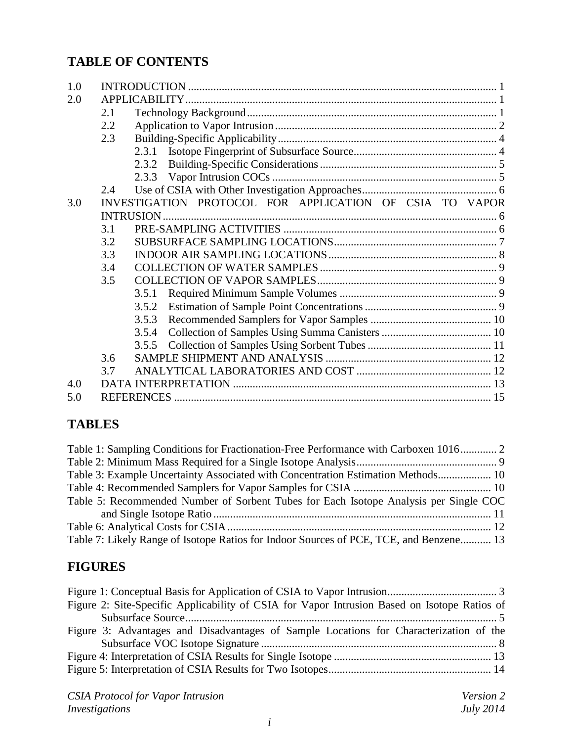# **TABLE OF CONTENTS**

| 1.0 |     |                                                         |  |
|-----|-----|---------------------------------------------------------|--|
| 2.0 |     |                                                         |  |
|     | 2.1 |                                                         |  |
|     | 2.2 |                                                         |  |
|     | 2.3 |                                                         |  |
|     |     |                                                         |  |
|     |     | 2.3.2                                                   |  |
|     |     |                                                         |  |
|     | 2.4 |                                                         |  |
| 3.0 |     | INVESTIGATION PROTOCOL FOR APPLICATION OF CSIA TO VAPOR |  |
|     |     | <b>INTRUSION</b>                                        |  |
|     | 3.1 |                                                         |  |
|     | 3.2 |                                                         |  |
|     | 3.3 |                                                         |  |
|     | 3.4 |                                                         |  |
|     | 3.5 |                                                         |  |
|     |     | 3.5.1                                                   |  |
|     |     | 3.5.2                                                   |  |
|     |     | 3.5.3                                                   |  |
|     |     | 3.5.4                                                   |  |
|     |     | 3.5.5                                                   |  |
|     | 3.6 |                                                         |  |
|     | 3.7 |                                                         |  |
| 4.0 |     |                                                         |  |
| 5.0 |     |                                                         |  |

# **TABLES**

| Table 1: Sampling Conditions for Fractionation-Free Performance with Carboxen 1016 2   |  |
|----------------------------------------------------------------------------------------|--|
|                                                                                        |  |
| Table 3: Example Uncertainty Associated with Concentration Estimation Methods 10       |  |
|                                                                                        |  |
| Table 5: Recommended Number of Sorbent Tubes for Each Isotope Analysis per Single COC  |  |
|                                                                                        |  |
|                                                                                        |  |
| Table 7: Likely Range of Isotope Ratios for Indoor Sources of PCE, TCE, and Benzene 13 |  |

# **FIGURES**

| Figure 2: Site-Specific Applicability of CSIA for Vapor Intrusion Based on Isotope Ratios of |  |
|----------------------------------------------------------------------------------------------|--|
|                                                                                              |  |
| Figure 3: Advantages and Disadvantages of Sample Locations for Characterization of the       |  |
|                                                                                              |  |
|                                                                                              |  |
|                                                                                              |  |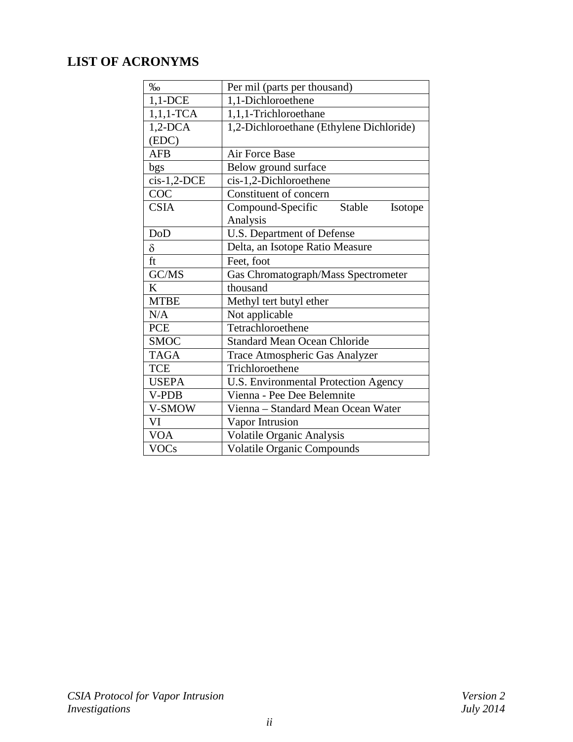# **LIST OF ACRONYMS**

| $\%$          | Per mil (parts per thousand)             |  |  |
|---------------|------------------------------------------|--|--|
| $1,1$ -DCE    | 1,1-Dichloroethene                       |  |  |
| $1,1,1$ -TCA  | 1,1,1-Trichloroethane                    |  |  |
| $1,2$ -DCA    | 1,2-Dichloroethane (Ethylene Dichloride) |  |  |
| (EDC)         |                                          |  |  |
| <b>AFB</b>    | Air Force Base                           |  |  |
| bgs           | Below ground surface                     |  |  |
| $cis-1,2-DCE$ | cis-1,2-Dichloroethene                   |  |  |
| COC           | Constituent of concern                   |  |  |
| <b>CSIA</b>   | Compound-Specific<br>Stable<br>Isotope   |  |  |
|               | Analysis                                 |  |  |
| DoD           | U.S. Department of Defense               |  |  |
| $\delta$      | Delta, an Isotope Ratio Measure          |  |  |
| ft            | Feet, foot                               |  |  |
| GC/MS         | Gas Chromatograph/Mass Spectrometer      |  |  |
| K             | thousand                                 |  |  |
| <b>MTBE</b>   | Methyl tert butyl ether                  |  |  |
| N/A           | Not applicable                           |  |  |
| <b>PCE</b>    | Tetrachloroethene                        |  |  |
| <b>SMOC</b>   | <b>Standard Mean Ocean Chloride</b>      |  |  |
| <b>TAGA</b>   | Trace Atmospheric Gas Analyzer           |  |  |
| <b>TCE</b>    | Trichloroethene                          |  |  |
| <b>USEPA</b>  | U.S. Environmental Protection Agency     |  |  |
| V-PDB         | Vienna - Pee Dee Belemnite               |  |  |
| V-SMOW        | Vienna - Standard Mean Ocean Water       |  |  |
| VI            | Vapor Intrusion                          |  |  |
| <b>VOA</b>    | <b>Volatile Organic Analysis</b>         |  |  |
| <b>VOCs</b>   | <b>Volatile Organic Compounds</b>        |  |  |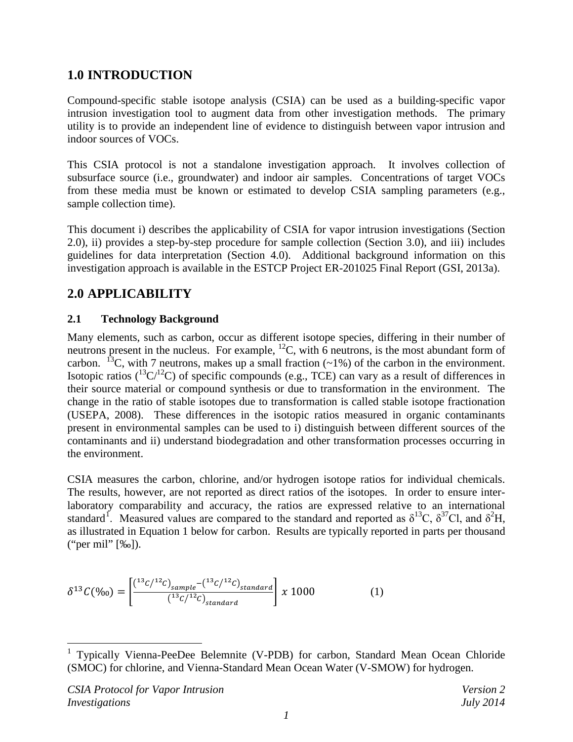# <span id="page-4-0"></span>**1.0 INTRODUCTION**

Compound-specific stable isotope analysis (CSIA) can be used as a building-specific vapor intrusion investigation tool to augment data from other investigation methods. The primary utility is to provide an independent line of evidence to distinguish between vapor intrusion and indoor sources of VOCs.

This CSIA protocol is not a standalone investigation approach. It involves collection of subsurface source (i.e., groundwater) and indoor air samples. Concentrations of target VOCs from these media must be known or estimated to develop CSIA sampling parameters (e.g., sample collection time).

This document i) describes the applicability of CSIA for vapor intrusion investigations (Section 2.0), ii) provides a step-by-step procedure for sample collection (Section 3.0), and iii) includes guidelines for data interpretation (Section 4.0). Additional background information on this investigation approach is available in the ESTCP Project ER-201025 Final Report (GSI, 2013a).

## <span id="page-4-1"></span>**2.0 APPLICABILITY**

#### <span id="page-4-2"></span>**2.1 Technology Background**

Many elements, such as carbon, occur as different isotope species, differing in their number of neutrons present in the nucleus. For example,  ${}^{12}C$ , with 6 neutrons, is the most abundant form of carbon. <sup>13</sup>C, with 7 neutrons, makes up a small fraction  $(\sim 1\%)$  of the carbon in the environment. Isotopic ratios  $({}^{13}C/{}^{12}C)$  of specific compounds (e.g., TCE) can vary as a result of differences in their source material or compound synthesis or due to transformation in the environment. The change in the ratio of stable isotopes due to transformation is called stable isotope fractionation (USEPA, 2008). These differences in the isotopic ratios measured in organic contaminants present in environmental samples can be used to i) distinguish between different sources of the contaminants and ii) understand biodegradation and other transformation processes occurring in the environment.

CSIA measures the carbon, chlorine, and/or hydrogen isotope ratios for individual chemicals. The results, however, are not reported as direct ratios of the isotopes. In order to ensure interlaboratory comparability and accuracy, the ratios are expressed relative to an international standard<sup>[1](#page-4-3)</sup>. Measured values are compared to the standard and reported as  $\delta^{13}C$ ,  $\delta^{37}C$ l, and  $\delta^2H$ , as illustrated in Equation 1 below for carbon. Results are typically reported in parts per thousand ("per mil" [‰]).

$$
\delta^{13}C(\%)_0 = \left[ \frac{\binom{13}{C} \binom{12}{s}^2 \binom{13}{C} \binom{13}{C}}{\binom{13}{C} \binom{12}{s}^2 \binom{13}{s}^2} \right] \times 1000 \tag{1}
$$

<span id="page-4-3"></span> <sup>1</sup> Typically Vienna-PeeDee Belemnite (V-PDB) for carbon, Standard Mean Ocean Chloride (SMOC) for chlorine, and Vienna-Standard Mean Ocean Water (V-SMOW) for hydrogen.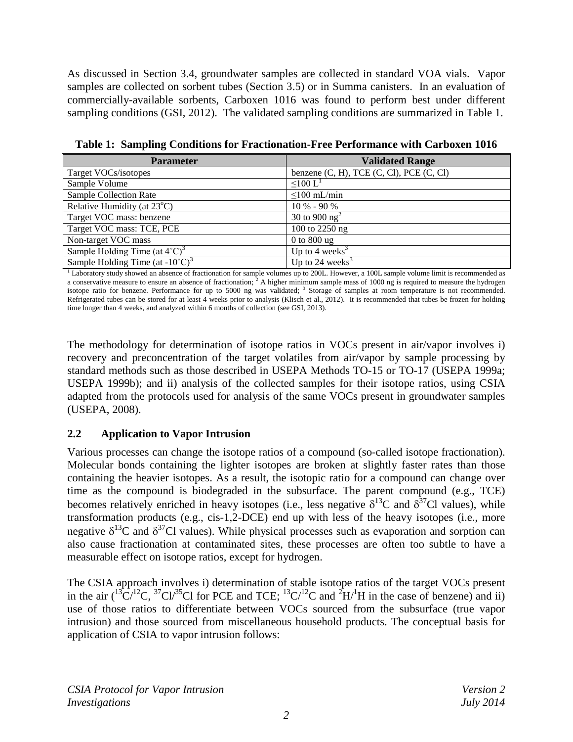As discussed in Section 3.4, groundwater samples are collected in standard VOA vials. Vapor samples are collected on sorbent tubes (Section 3.5) or in Summa canisters. In an evaluation of commercially-available sorbents, Carboxen 1016 was found to perform best under different sampling conditions (GSI, 2012). The validated sampling conditions are summarized in Table 1.

| <b>Parameter</b>                                      | <b>Validated Range</b>                           |
|-------------------------------------------------------|--------------------------------------------------|
| Target VOCs/isotopes                                  | benzene $(C, H)$ , TCE $(C, Cl)$ , PCE $(C, Cl)$ |
| Sample Volume                                         | $\leq 100$ L <sup>1</sup>                        |
| Sample Collection Rate                                | $\leq$ 100 mL/min                                |
| Relative Humidity (at $23^{\circ}$ C)                 | $10\% - 90\%$                                    |
| Target VOC mass: benzene                              | 30 to 900 $ng^2$                                 |
| Target VOC mass: TCE, PCE                             | 100 to 2250 ng                                   |
| Non-target VOC mass                                   | $0$ to $800$ ug                                  |
| Sample Holding Time (at $4^{\circ}$ C) <sup>3</sup>   | Up to 4 weeks <sup>3</sup>                       |
| Sample Holding Time (at $-10^{\circ}$ C) <sup>3</sup> | Up to 24 weeks $3$                               |

<span id="page-5-1"></span>**Table 1: Sampling Conditions for Fractionation-Free Performance with Carboxen 1016** 

<sup>1</sup> Laboratory study showed an absence of fractionation for sample volumes up to 200L. However, a 100L sample volume limit is recommended as a conservative measure to ensure an absence of fractionation;  $2 \text{ A higher minimum sample mass of } 1000 \text{ ng is required to measure the hydrogen}$ isotope ratio for benzene. Performance for up to 5000 ng was validated; <sup>3</sup> Storage of samples at room temperature is not recommended. Refrigerated tubes can be stored for at least 4 weeks prior to analysis (Klisch et al., 2012). It is recommended that tubes be frozen for holding time longer than 4 weeks, and analyzed within 6 months of collection (see GSI, 2013).

The methodology for determination of isotope ratios in VOCs present in air/vapor involves i) recovery and preconcentration of the target volatiles from air/vapor by sample processing by standard methods such as those described in USEPA Methods TO-15 or TO-17 (USEPA 1999a; USEPA 1999b); and ii) analysis of the collected samples for their isotope ratios, using CSIA adapted from the protocols used for analysis of the same VOCs present in groundwater samples (USEPA, 2008).

#### <span id="page-5-0"></span>**2.2 Application to Vapor Intrusion**

Various processes can change the isotope ratios of a compound (so-called isotope fractionation). Molecular bonds containing the lighter isotopes are broken at slightly faster rates than those containing the heavier isotopes. As a result, the isotopic ratio for a compound can change over time as the compound is biodegraded in the subsurface. The parent compound (e.g., TCE) becomes relatively enriched in heavy isotopes (i.e., less negative  $\delta^{13}$ C and  $\delta^{37}$ Cl values), while transformation products (e.g., cis-1,2-DCE) end up with less of the heavy isotopes (i.e., more negative  $\delta^{13}$ C and  $\delta^{37}$ Cl values). While physical processes such as evaporation and sorption can also cause fractionation at contaminated sites, these processes are often too subtle to have a measurable effect on isotope ratios, except for hydrogen.

The CSIA approach involves i) determination of stable isotope ratios of the target VOCs present in the air  $({}^{13}\text{C}/{}^{12}\text{C}, {}^{37}\text{C}$  $I/{}^{35}\text{C}$  for PCE and TCE;  ${}^{13}\text{C}/{}^{12}\text{C}$  and  ${}^{2}\text{H}/{}^{1}\text{H}$  in the case of benzene) and ii) use of those ratios to differentiate between VOCs sourced from the subsurface (true vapor intrusion) and those sourced from miscellaneous household products. The conceptual basis for application of CSIA to vapor intrusion follows: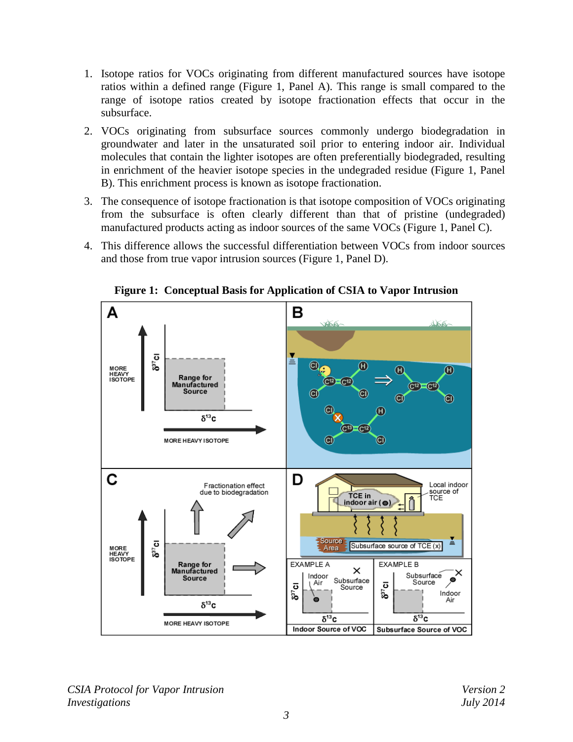- 1. Isotope ratios for VOCs originating from different manufactured sources have isotope ratios within a defined range (Figure 1, Panel A). This range is small compared to the range of isotope ratios created by isotope fractionation effects that occur in the subsurface.
- 2. VOCs originating from subsurface sources commonly undergo biodegradation in groundwater and later in the unsaturated soil prior to entering indoor air. Individual molecules that contain the lighter isotopes are often preferentially biodegraded, resulting in enrichment of the heavier isotope species in the undegraded residue (Figure 1, Panel B). This enrichment process is known as isotope fractionation.
- 3. The consequence of isotope fractionation is that isotope composition of VOCs originating from the subsurface is often clearly different than that of pristine (undegraded) manufactured products acting as indoor sources of the same VOCs (Figure 1, Panel C).
- 4. This difference allows the successful differentiation between VOCs from indoor sources and those from true vapor intrusion sources (Figure 1, Panel D).

<span id="page-6-0"></span>

**Figure 1: Conceptual Basis for Application of CSIA to Vapor Intrusion**

*CSIA Protocol for Vapor Intrusion Version 2 Investigations July 2014*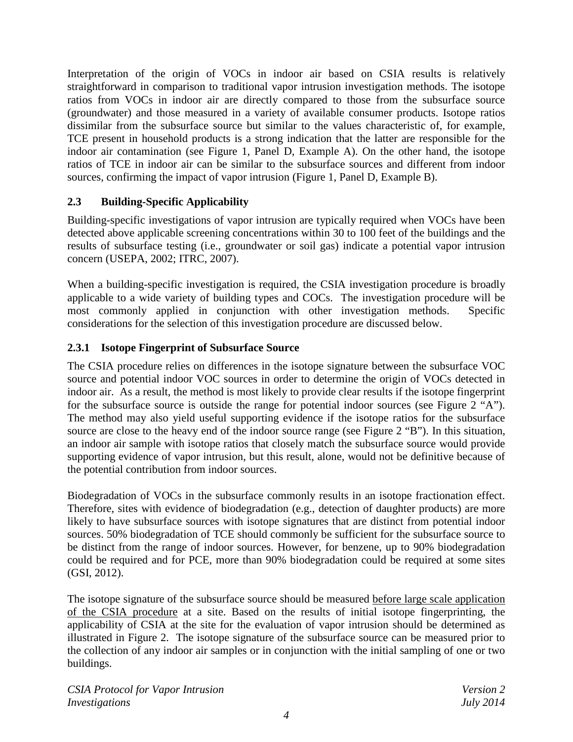Interpretation of the origin of VOCs in indoor air based on CSIA results is relatively straightforward in comparison to traditional vapor intrusion investigation methods. The isotope ratios from VOCs in indoor air are directly compared to those from the subsurface source (groundwater) and those measured in a variety of available consumer products. Isotope ratios dissimilar from the subsurface source but similar to the values characteristic of, for example, TCE present in household products is a strong indication that the latter are responsible for the indoor air contamination (see Figure 1, Panel D, Example A). On the other hand, the isotope ratios of TCE in indoor air can be similar to the subsurface sources and different from indoor sources, confirming the impact of vapor intrusion (Figure 1, Panel D, Example B).

#### <span id="page-7-0"></span>**2.3 Building-Specific Applicability**

Building-specific investigations of vapor intrusion are typically required when VOCs have been detected above applicable screening concentrations within 30 to 100 feet of the buildings and the results of subsurface testing (i.e., groundwater or soil gas) indicate a potential vapor intrusion concern (USEPA, 2002; ITRC, 2007).

When a building-specific investigation is required, the CSIA investigation procedure is broadly applicable to a wide variety of building types and COCs. The investigation procedure will be most commonly applied in conjunction with other investigation methods. Specific considerations for the selection of this investigation procedure are discussed below.

#### <span id="page-7-1"></span>**2.3.1 Isotope Fingerprint of Subsurface Source**

The CSIA procedure relies on differences in the isotope signature between the subsurface VOC source and potential indoor VOC sources in order to determine the origin of VOCs detected in indoor air. As a result, the method is most likely to provide clear results if the isotope fingerprint for the subsurface source is outside the range for potential indoor sources (see Figure 2 "A"). The method may also yield useful supporting evidence if the isotope ratios for the subsurface source are close to the heavy end of the indoor source range (see Figure 2 "B"). In this situation, an indoor air sample with isotope ratios that closely match the subsurface source would provide supporting evidence of vapor intrusion, but this result, alone, would not be definitive because of the potential contribution from indoor sources.

Biodegradation of VOCs in the subsurface commonly results in an isotope fractionation effect. Therefore, sites with evidence of biodegradation (e.g., detection of daughter products) are more likely to have subsurface sources with isotope signatures that are distinct from potential indoor sources. 50% biodegradation of TCE should commonly be sufficient for the subsurface source to be distinct from the range of indoor sources. However, for benzene, up to 90% biodegradation could be required and for PCE, more than 90% biodegradation could be required at some sites (GSI, 2012).

The isotope signature of the subsurface source should be measured before large scale application of the CSIA procedure at a site. Based on the results of initial isotope fingerprinting, the applicability of CSIA at the site for the evaluation of vapor intrusion should be determined as illustrated in Figure 2. The isotope signature of the subsurface source can be measured prior to the collection of any indoor air samples or in conjunction with the initial sampling of one or two buildings.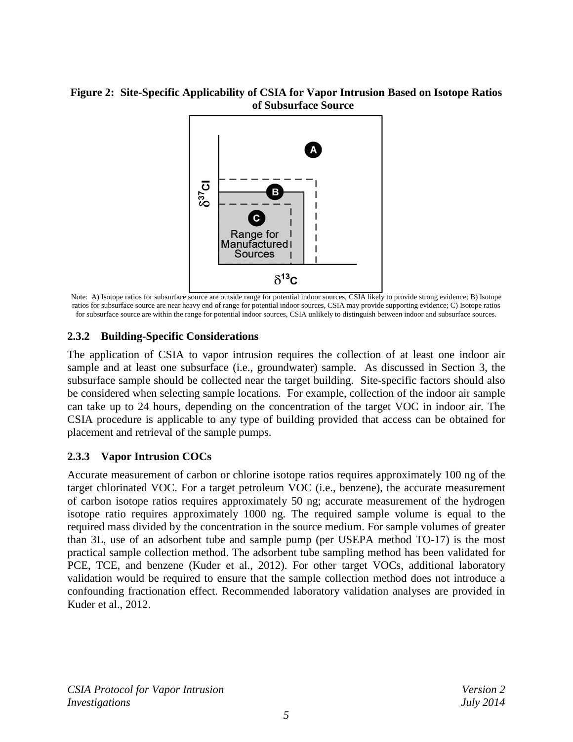#### <span id="page-8-2"></span>**Figure 2: Site-Specific Applicability of CSIA for Vapor Intrusion Based on Isotope Ratios of Subsurface Source**



Note: A) Isotope ratios for subsurface source are outside range for potential indoor sources, CSIA likely to provide strong evidence; B) Isotope ratios for subsurface source are near heavy end of range for potential indoor sources, CSIA may provide supporting evidence; C) Isotope ratios for subsurface source are within the range for potential indoor sources, CSIA unlikely to distinguish between indoor and subsurface sources.

#### <span id="page-8-0"></span>**2.3.2 Building-Specific Considerations**

The application of CSIA to vapor intrusion requires the collection of at least one indoor air sample and at least one subsurface (i.e., groundwater) sample. As discussed in Section 3, the subsurface sample should be collected near the target building. Site-specific factors should also be considered when selecting sample locations. For example, collection of the indoor air sample can take up to 24 hours, depending on the concentration of the target VOC in indoor air. The CSIA procedure is applicable to any type of building provided that access can be obtained for placement and retrieval of the sample pumps.

#### <span id="page-8-1"></span>**2.3.3 Vapor Intrusion COCs**

Accurate measurement of carbon or chlorine isotope ratios requires approximately 100 ng of the target chlorinated VOC. For a target petroleum VOC (i.e., benzene), the accurate measurement of carbon isotope ratios requires approximately 50 ng; accurate measurement of the hydrogen isotope ratio requires approximately 1000 ng. The required sample volume is equal to the required mass divided by the concentration in the source medium. For sample volumes of greater than 3L, use of an adsorbent tube and sample pump (per USEPA method TO-17) is the most practical sample collection method. The adsorbent tube sampling method has been validated for PCE, TCE, and benzene (Kuder et al., 2012). For other target VOCs, additional laboratory validation would be required to ensure that the sample collection method does not introduce a confounding fractionation effect. Recommended laboratory validation analyses are provided in Kuder et al., 2012.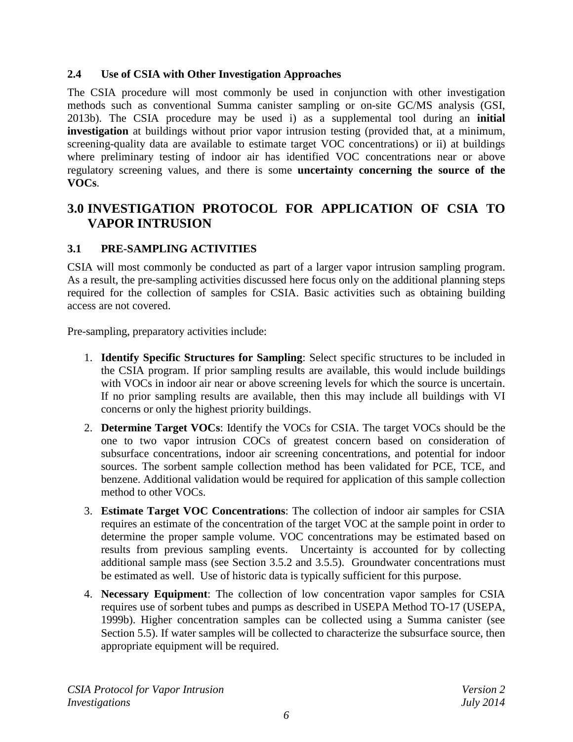#### <span id="page-9-0"></span>**2.4 Use of CSIA with Other Investigation Approaches**

The CSIA procedure will most commonly be used in conjunction with other investigation methods such as conventional Summa canister sampling or on-site GC/MS analysis (GSI, 2013b). The CSIA procedure may be used i) as a supplemental tool during an **initial investigation** at buildings without prior vapor intrusion testing (provided that, at a minimum, screening-quality data are available to estimate target VOC concentrations) or ii) at buildings where preliminary testing of indoor air has identified VOC concentrations near or above regulatory screening values, and there is some **uncertainty concerning the source of the VOCs**.

## <span id="page-9-1"></span>**3.0 INVESTIGATION PROTOCOL FOR APPLICATION OF CSIA TO VAPOR INTRUSION**

#### <span id="page-9-2"></span>**3.1 PRE-SAMPLING ACTIVITIES**

CSIA will most commonly be conducted as part of a larger vapor intrusion sampling program. As a result, the pre-sampling activities discussed here focus only on the additional planning steps required for the collection of samples for CSIA. Basic activities such as obtaining building access are not covered.

Pre-sampling, preparatory activities include:

- 1. **Identify Specific Structures for Sampling**: Select specific structures to be included in the CSIA program. If prior sampling results are available, this would include buildings with VOCs in indoor air near or above screening levels for which the source is uncertain. If no prior sampling results are available, then this may include all buildings with VI concerns or only the highest priority buildings.
- 2. **Determine Target VOCs**: Identify the VOCs for CSIA. The target VOCs should be the one to two vapor intrusion COCs of greatest concern based on consideration of subsurface concentrations, indoor air screening concentrations, and potential for indoor sources. The sorbent sample collection method has been validated for PCE, TCE, and benzene. Additional validation would be required for application of this sample collection method to other VOCs.
- 3. **Estimate Target VOC Concentrations**: The collection of indoor air samples for CSIA requires an estimate of the concentration of the target VOC at the sample point in order to determine the proper sample volume. VOC concentrations may be estimated based on results from previous sampling events. Uncertainty is accounted for by collecting additional sample mass (see Section 3.5.2 and 3.5.5). Groundwater concentrations must be estimated as well. Use of historic data is typically sufficient for this purpose.
- 4. **Necessary Equipment**: The collection of low concentration vapor samples for CSIA requires use of sorbent tubes and pumps as described in USEPA Method TO-17 (USEPA, 1999b). Higher concentration samples can be collected using a Summa canister (see Section 5.5). If water samples will be collected to characterize the subsurface source, then appropriate equipment will be required.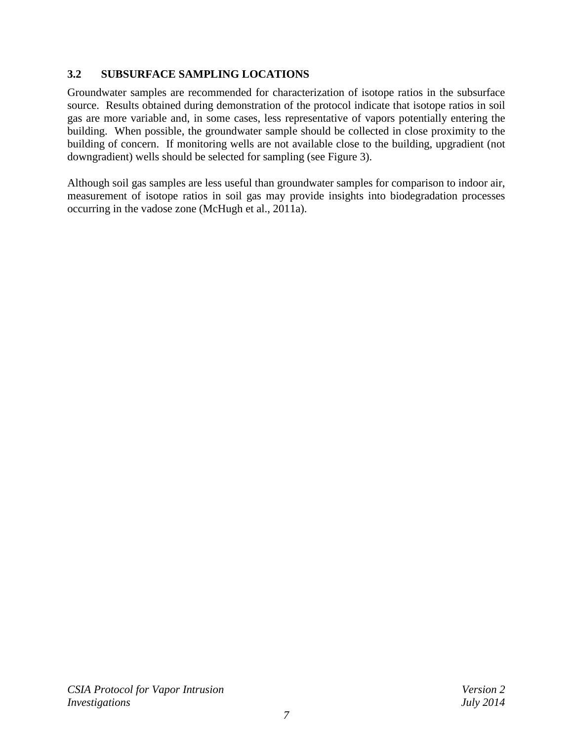#### <span id="page-10-0"></span>**3.2 SUBSURFACE SAMPLING LOCATIONS**

Groundwater samples are recommended for characterization of isotope ratios in the subsurface source. Results obtained during demonstration of the protocol indicate that isotope ratios in soil gas are more variable and, in some cases, less representative of vapors potentially entering the building. When possible, the groundwater sample should be collected in close proximity to the building of concern. If monitoring wells are not available close to the building, upgradient (not downgradient) wells should be selected for sampling (see Figure 3).

Although soil gas samples are less useful than groundwater samples for comparison to indoor air, measurement of isotope ratios in soil gas may provide insights into biodegradation processes occurring in the vadose zone (McHugh et al., 2011a).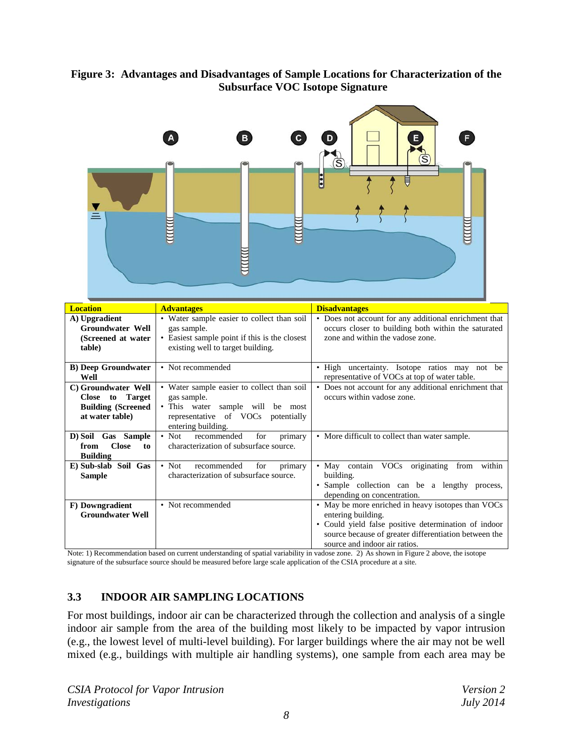

#### <span id="page-11-1"></span>**Figure 3: Advantages and Disadvantages of Sample Locations for Characterization of the Subsurface VOC Isotope Signature**

| <b>Location</b>                                                                         | <b>Advantages</b>                                                                                                                                         | <b>Disadvantages</b>                                                                                                                                                                                                                        |  |
|-----------------------------------------------------------------------------------------|-----------------------------------------------------------------------------------------------------------------------------------------------------------|---------------------------------------------------------------------------------------------------------------------------------------------------------------------------------------------------------------------------------------------|--|
| A) Upgradient<br><b>Groundwater Well</b><br>(Screened at water)<br>table)               | • Water sample easier to collect than soil<br>gas sample.<br>• Easiest sample point if this is the closest<br>existing well to target building.           | • Does not account for any additional enrichment that<br>occurs closer to building both within the saturated<br>zone and within the vadose zone.                                                                                            |  |
| <b>B)</b> Deep Groundwater<br>Well                                                      | • Not recommended                                                                                                                                         | • High uncertainty. Isotope ratios may not be<br>representative of VOCs at top of water table.                                                                                                                                              |  |
| C) Groundwater Well<br>Close to Target<br><b>Building (Screened)</b><br>at water table) | • Water sample easier to collect than soil<br>gas sample.<br>• This water sample will be most<br>representative of VOCs potentially<br>entering building. | • Does not account for any additional enrichment that<br>occurs within vadose zone.                                                                                                                                                         |  |
| D) Soil Gas Sample<br><b>Close</b><br>to<br>from<br><b>Building</b>                     | recommended<br>for<br>$\bullet$ Not<br>primary<br>characterization of subsurface source.                                                                  | • More difficult to collect than water sample.                                                                                                                                                                                              |  |
| E) Sub-slab Soil Gas<br><b>Sample</b>                                                   | $\bullet$ Not<br>recommended<br>for<br>primary<br>characterization of subsurface source.                                                                  | • May contain VOCs originating from<br>within<br>building.<br>• Sample collection can be a lengthy process,<br>depending on concentration.                                                                                                  |  |
| F) Downgradient<br><b>Groundwater Well</b>                                              | • Not recommended                                                                                                                                         | • May be more enriched in heavy isotopes than VOCs<br>entering building.<br>• Could yield false positive determination of indoor<br>source because of greater differentiation between the<br>source and indoor air ratios.<br>$\sim$ $\sim$ |  |

Note: 1) Recommendation based on current understanding of spatial variability in vadose zone. 2) As shown in Figure 2 above, the isotope signature of the subsurface source should be measured before large scale application of the CSIA procedure at a site.

#### <span id="page-11-0"></span>**3.3 INDOOR AIR SAMPLING LOCATIONS**

For most buildings, indoor air can be characterized through the collection and analysis of a single indoor air sample from the area of the building most likely to be impacted by vapor intrusion (e.g., the lowest level of multi-level building). For larger buildings where the air may not be well mixed (e.g., buildings with multiple air handling systems), one sample from each area may be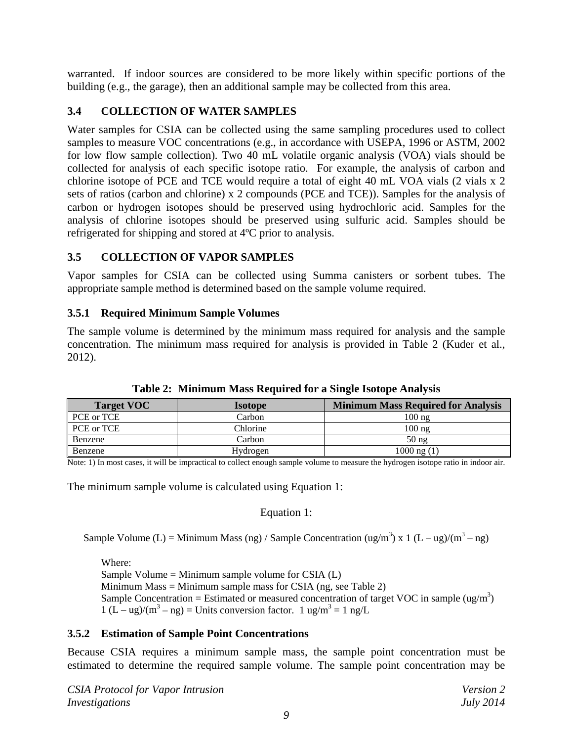warranted. If indoor sources are considered to be more likely within specific portions of the building (e.g., the garage), then an additional sample may be collected from this area.

#### <span id="page-12-0"></span>**3.4 COLLECTION OF WATER SAMPLES**

Water samples for CSIA can be collected using the same sampling procedures used to collect samples to measure VOC concentrations (e.g., in accordance with USEPA, 1996 or ASTM, 2002 for low flow sample collection). Two 40 mL volatile organic analysis (VOA) vials should be collected for analysis of each specific isotope ratio. For example, the analysis of carbon and chlorine isotope of PCE and TCE would require a total of eight 40 mL VOA vials (2 vials x 2 sets of ratios (carbon and chlorine) x 2 compounds (PCE and TCE)). Samples for the analysis of carbon or hydrogen isotopes should be preserved using hydrochloric acid. Samples for the analysis of chlorine isotopes should be preserved using sulfuric acid. Samples should be refrigerated for shipping and stored at 4ºC prior to analysis.

#### <span id="page-12-1"></span>**3.5 COLLECTION OF VAPOR SAMPLES**

Vapor samples for CSIA can be collected using Summa canisters or sorbent tubes. The appropriate sample method is determined based on the sample volume required.

#### <span id="page-12-2"></span>**3.5.1 Required Minimum Sample Volumes**

The sample volume is determined by the minimum mass required for analysis and the sample concentration. The minimum mass required for analysis is provided in Table 2 (Kuder et al., 2012).

<span id="page-12-4"></span>

| <b>Target VOC</b> | <b>Isotope</b> | <b>Minimum Mass Required for Analysis</b> |
|-------------------|----------------|-------------------------------------------|
| PCE or TCE        | Carbon         | $100 \text{ ng}$                          |
| PCE or TCE        | Chlorine       | $100 \text{ ng}$                          |
| Benzene           | Carbon         | 50 <sub>ng</sub>                          |
| Benzene           | Hydrogen       | $1000$ ng $(1)$                           |

**Table 2: Minimum Mass Required for a Single Isotope Analysis**

Note: 1) In most cases, it will be impractical to collect enough sample volume to measure the hydrogen isotope ratio in indoor air.

The minimum sample volume is calculated using Equation 1:

Equation 1:

Sample Volume (L) = Minimum Mass (ng) / Sample Concentration (ug/m<sup>3</sup>) x 1 (L – ug)/(m<sup>3</sup> – ng)

Where: Sample Volume = Minimum sample volume for CSIA  $(L)$ Minimum Mass = Minimum sample mass for CSIA (ng, see Table 2) Sample Concentration = Estimated or measured concentration of target VOC in sample (ug/m<sup>3</sup>)  $1 (L - ug)/(m^3 - ng) =$ Units conversion factor.  $1 ug/m^3 = 1 ng/L$ 

#### <span id="page-12-3"></span>**3.5.2 Estimation of Sample Point Concentrations**

Because CSIA requires a minimum sample mass, the sample point concentration must be estimated to determine the required sample volume. The sample point concentration may be

*CSIA Protocol for Vapor Intrusion Version 2 Investigations July 2014*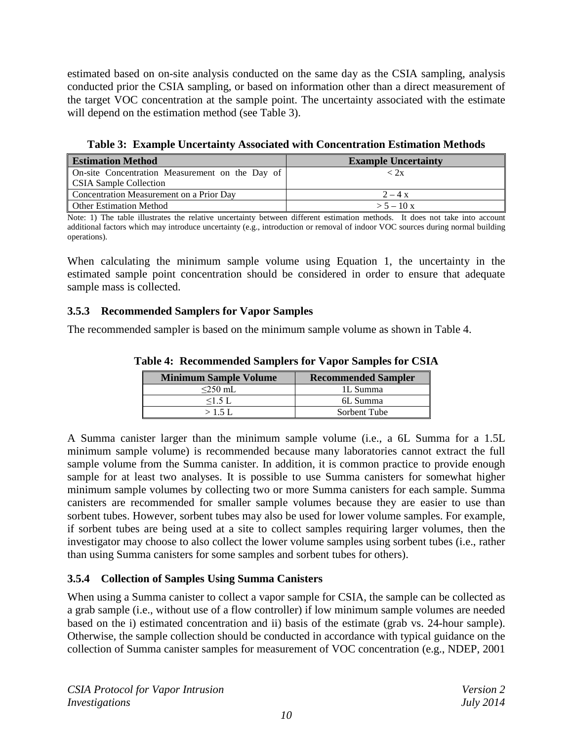estimated based on on-site analysis conducted on the same day as the CSIA sampling, analysis conducted prior the CSIA sampling, or based on information other than a direct measurement of the target VOC concentration at the sample point. The uncertainty associated with the estimate will depend on the estimation method (see Table 3).

**Table 3: Example Uncertainty Associated with Concentration Estimation Methods**

<span id="page-13-2"></span>

| <b>Estimation Method</b>                        | <b>Example Uncertainty</b> |  |
|-------------------------------------------------|----------------------------|--|
| On-site Concentration Measurement on the Day of | < 2x                       |  |
| <b>CSIA Sample Collection</b>                   |                            |  |
| Concentration Measurement on a Prior Day        | $2 - 4x$                   |  |
| <b>Other Estimation Method</b>                  | $> 5 - 10x$                |  |

Note: 1) The table illustrates the relative uncertainty between different estimation methods. It does not take into account additional factors which may introduce uncertainty (e.g., introduction or removal of indoor VOC sources during normal building operations).

When calculating the minimum sample volume using Equation 1, the uncertainty in the estimated sample point concentration should be considered in order to ensure that adequate sample mass is collected.

#### <span id="page-13-0"></span>**3.5.3 Recommended Samplers for Vapor Samples**

<span id="page-13-3"></span>The recommended sampler is based on the minimum sample volume as shown in Table 4.

| <b>Minimum Sample Volume</b> | <b>Recommended Sampler</b> |  |
|------------------------------|----------------------------|--|
| $\leq$ 250 mL                | 1L Summa                   |  |
| $<$ 1.5 L                    | 6L Summa                   |  |
| $>1.5$ L                     | Sorbent Tube               |  |

**Table 4: Recommended Samplers for Vapor Samples for CSIA**

A Summa canister larger than the minimum sample volume (i.e., a 6L Summa for a 1.5L minimum sample volume) is recommended because many laboratories cannot extract the full sample volume from the Summa canister. In addition, it is common practice to provide enough sample for at least two analyses. It is possible to use Summa canisters for somewhat higher minimum sample volumes by collecting two or more Summa canisters for each sample. Summa canisters are recommended for smaller sample volumes because they are easier to use than sorbent tubes. However, sorbent tubes may also be used for lower volume samples. For example, if sorbent tubes are being used at a site to collect samples requiring larger volumes, then the investigator may choose to also collect the lower volume samples using sorbent tubes (i.e., rather than using Summa canisters for some samples and sorbent tubes for others).

# <span id="page-13-1"></span>**3.5.4 Collection of Samples Using Summa Canisters**

When using a Summa canister to collect a vapor sample for CSIA, the sample can be collected as a grab sample (i.e., without use of a flow controller) if low minimum sample volumes are needed based on the i) estimated concentration and ii) basis of the estimate (grab vs. 24-hour sample). Otherwise, the sample collection should be conducted in accordance with typical guidance on the collection of Summa canister samples for measurement of VOC concentration (e.g., NDEP, 2001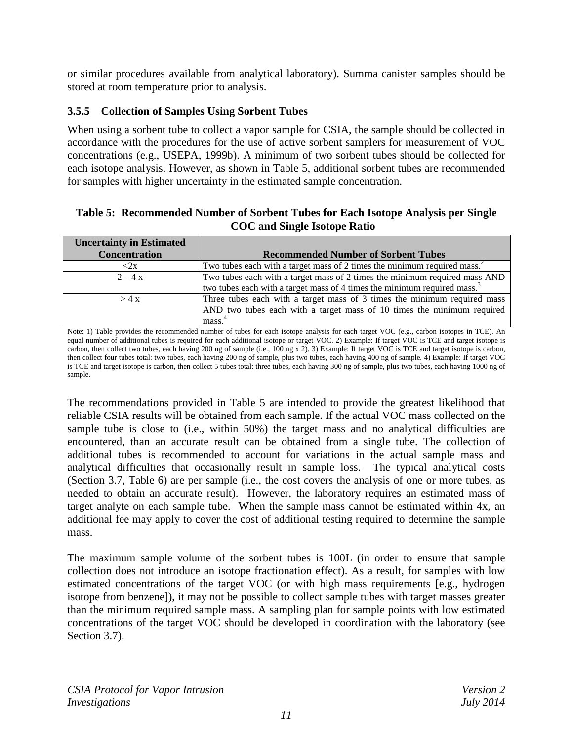or similar procedures available from analytical laboratory). Summa canister samples should be stored at room temperature prior to analysis.

#### <span id="page-14-0"></span>**3.5.5 Collection of Samples Using Sorbent Tubes**

When using a sorbent tube to collect a vapor sample for CSIA, the sample should be collected in accordance with the procedures for the use of active sorbent samplers for measurement of VOC concentrations (e.g., USEPA, 1999b). A minimum of two sorbent tubes should be collected for each isotope analysis. However, as shown in Table 5, additional sorbent tubes are recommended for samples with higher uncertainty in the estimated sample concentration.

#### <span id="page-14-1"></span>**Table 5: Recommended Number of Sorbent Tubes for Each Isotope Analysis per Single COC and Single Isotope Ratio**

| <b>Uncertainty in Estimated</b> |                                                                                      |  |  |
|---------------------------------|--------------------------------------------------------------------------------------|--|--|
| <b>Concentration</b>            | <b>Recommended Number of Sorbent Tubes</b>                                           |  |  |
| $\langle 2x$                    | Two tubes each with a target mass of 2 times the minimum required mass. <sup>2</sup> |  |  |
| $2 - 4x$                        | Two tubes each with a target mass of 2 times the minimum required mass AND           |  |  |
|                                 | two tubes each with a target mass of 4 times the minimum required mass. <sup>3</sup> |  |  |
| >4x                             | Three tubes each with a target mass of 3 times the minimum required mass             |  |  |
|                                 | AND two tubes each with a target mass of 10 times the minimum required               |  |  |
|                                 | mass.                                                                                |  |  |

Note: 1) Table provides the recommended number of tubes for each isotope analysis for each target VOC (e.g., carbon isotopes in TCE). An equal number of additional tubes is required for each additional isotope or target VOC. 2) Example: If target VOC is TCE and target isotope is carbon, then collect two tubes, each having 200 ng of sample (i.e., 100 ng x 2). 3) Example: If target VOC is TCE and target isotope is carbon, then collect four tubes total: two tubes, each having 200 ng of sample, plus two tubes, each having 400 ng of sample. 4) Example: If target VOC is TCE and target isotope is carbon, then collect 5 tubes total: three tubes, each having 300 ng of sample, plus two tubes, each having 1000 ng of sample.

The recommendations provided in Table 5 are intended to provide the greatest likelihood that reliable CSIA results will be obtained from each sample. If the actual VOC mass collected on the sample tube is close to (i.e., within 50%) the target mass and no analytical difficulties are encountered, than an accurate result can be obtained from a single tube. The collection of additional tubes is recommended to account for variations in the actual sample mass and analytical difficulties that occasionally result in sample loss. The typical analytical costs (Section 3.7, Table 6) are per sample (i.e., the cost covers the analysis of one or more tubes, as needed to obtain an accurate result). However, the laboratory requires an estimated mass of target analyte on each sample tube. When the sample mass cannot be estimated within 4x, an additional fee may apply to cover the cost of additional testing required to determine the sample mass.

The maximum sample volume of the sorbent tubes is 100L (in order to ensure that sample collection does not introduce an isotope fractionation effect). As a result, for samples with low estimated concentrations of the target VOC (or with high mass requirements [e.g., hydrogen isotope from benzene]), it may not be possible to collect sample tubes with target masses greater than the minimum required sample mass. A sampling plan for sample points with low estimated concentrations of the target VOC should be developed in coordination with the laboratory (see Section 3.7).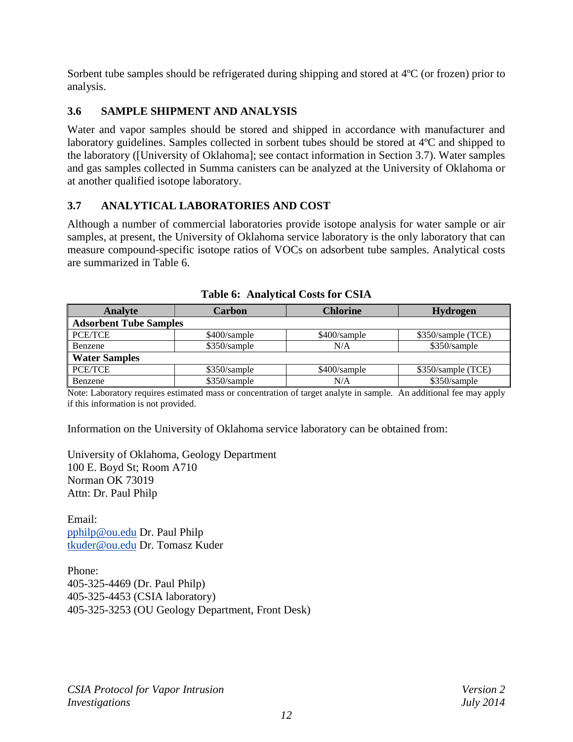Sorbent tube samples should be refrigerated during shipping and stored at 4ºC (or frozen) prior to analysis.

#### <span id="page-15-0"></span>**3.6 SAMPLE SHIPMENT AND ANALYSIS**

Water and vapor samples should be stored and shipped in accordance with manufacturer and laboratory guidelines. Samples collected in sorbent tubes should be stored at 4ºC and shipped to the laboratory ([University of Oklahoma]; see contact information in Section 3.7). Water samples and gas samples collected in Summa canisters can be analyzed at the University of Oklahoma or at another qualified isotope laboratory.

#### <span id="page-15-1"></span>**3.7 ANALYTICAL LABORATORIES AND COST**

Although a number of commercial laboratories provide isotope analysis for water sample or air samples, at present, the University of Oklahoma service laboratory is the only laboratory that can measure compound-specific isotope ratios of VOCs on adsorbent tube samples. Analytical costs are summarized in Table 6.

<span id="page-15-2"></span>

| <b>Analyte</b>                | <b>Carbon</b>  | <b>Chlorine</b> | <b>Hydrogen</b>    |
|-------------------------------|----------------|-----------------|--------------------|
| <b>Adsorbent Tube Samples</b> |                |                 |                    |
| PCE/TCE                       | \$400/sample   | \$400/sample    | \$350/sample (TCE) |
| Benzene                       | $$350/s$ ample | N/A             | \$350/sample       |
| <b>Water Samples</b>          |                |                 |                    |
| <b>PCE/TCE</b>                | \$350/sample   | \$400/sample    | \$350/sample (TCE) |
| Benzene                       | \$350/sample   | N/A             | \$350/sample       |

| <b>Table 6: Analytical Costs for CSIA</b> |  |
|-------------------------------------------|--|
|                                           |  |

Note: Laboratory requires estimated mass or concentration of target analyte in sample. An additional fee may apply if this information is not provided.

Information on the University of Oklahoma service laboratory can be obtained from:

University of Oklahoma, Geology Department 100 E. Boyd St; Room A710 Norman OK 73019 Attn: Dr. Paul Philp

Email: [pphilp@ou.edu](mailto:pphilp@ou.edu) Dr. Paul Philp [tkuder@ou.edu](mailto:tkuder@ou.edu) Dr. Tomasz Kuder

Phone: 405-325-4469 (Dr. Paul Philp) 405-325-4453 (CSIA laboratory) 405-325-3253 (OU Geology Department, Front Desk)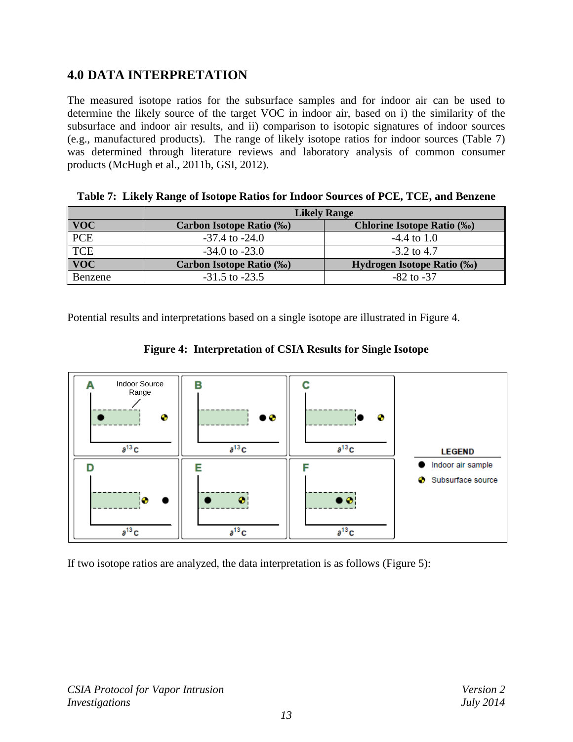# <span id="page-16-0"></span>**4.0 DATA INTERPRETATION**

The measured isotope ratios for the subsurface samples and for indoor air can be used to determine the likely source of the target VOC in indoor air, based on i) the similarity of the subsurface and indoor air results, and ii) comparison to isotopic signatures of indoor sources (e.g., manufactured products). The range of likely isotope ratios for indoor sources (Table 7) was determined through literature reviews and laboratory analysis of common consumer products (McHugh et al., 2011b, GSI, 2012).

|                  | <b>Likely Range</b>              |                                    |  |
|------------------|----------------------------------|------------------------------------|--|
| <b>VOC</b>       | <b>Carbon Isotope Ratio (%o)</b> | <b>Chlorine Isotope Ratio (%0)</b> |  |
| $\overline{PCE}$ | $-37.4$ to $-24.0$               | $-4.4$ to 1.0                      |  |
| <b>TCE</b>       | $-34.0$ to $-23.0$               | $-3.2$ to 4.7                      |  |
| <b>VOC</b>       | Carbon Isotope Ratio (‰)         | Hydrogen Isotope Ratio (‰)         |  |
| Benzene          | $-31.5$ to $-23.5$               | $-82$ to $-37$                     |  |

<span id="page-16-1"></span>**Table 7: Likely Range of Isotope Ratios for Indoor Sources of PCE, TCE, and Benzene** 

<span id="page-16-2"></span>Potential results and interpretations based on a single isotope are illustrated in Figure 4.



**Figure 4: Interpretation of CSIA Results for Single Isotope**

If two isotope ratios are analyzed, the data interpretation is as follows (Figure 5):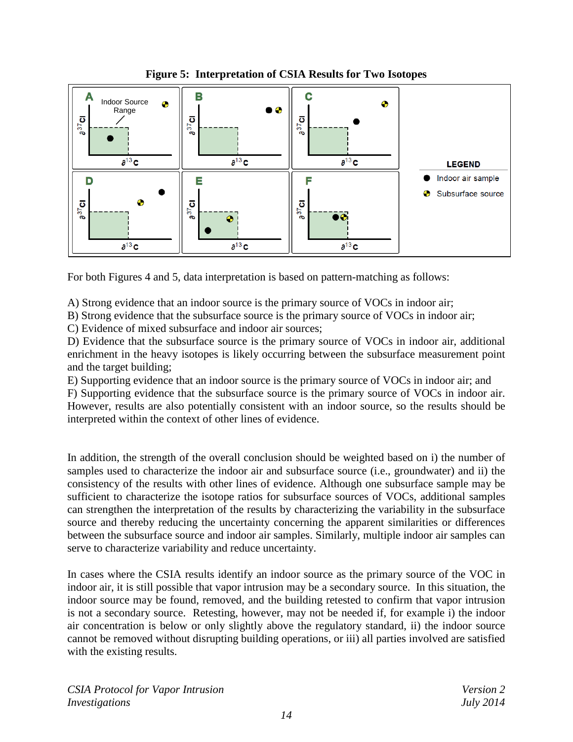<span id="page-17-0"></span>

**Figure 5: Interpretation of CSIA Results for Two Isotopes** 

For both Figures 4 and 5, data interpretation is based on pattern-matching as follows:

A) Strong evidence that an indoor source is the primary source of VOCs in indoor air;

B) Strong evidence that the subsurface source is the primary source of VOCs in indoor air;

C) Evidence of mixed subsurface and indoor air sources;

D) Evidence that the subsurface source is the primary source of VOCs in indoor air, additional enrichment in the heavy isotopes is likely occurring between the subsurface measurement point and the target building;

E) Supporting evidence that an indoor source is the primary source of VOCs in indoor air; and

F) Supporting evidence that the subsurface source is the primary source of VOCs in indoor air. However, results are also potentially consistent with an indoor source, so the results should be interpreted within the context of other lines of evidence.

In addition, the strength of the overall conclusion should be weighted based on i) the number of samples used to characterize the indoor air and subsurface source (i.e., groundwater) and ii) the consistency of the results with other lines of evidence. Although one subsurface sample may be sufficient to characterize the isotope ratios for subsurface sources of VOCs, additional samples can strengthen the interpretation of the results by characterizing the variability in the subsurface source and thereby reducing the uncertainty concerning the apparent similarities or differences between the subsurface source and indoor air samples. Similarly, multiple indoor air samples can serve to characterize variability and reduce uncertainty.

In cases where the CSIA results identify an indoor source as the primary source of the VOC in indoor air, it is still possible that vapor intrusion may be a secondary source. In this situation, the indoor source may be found, removed, and the building retested to confirm that vapor intrusion is not a secondary source. Retesting, however, may not be needed if, for example i) the indoor air concentration is below or only slightly above the regulatory standard, ii) the indoor source cannot be removed without disrupting building operations, or iii) all parties involved are satisfied with the existing results.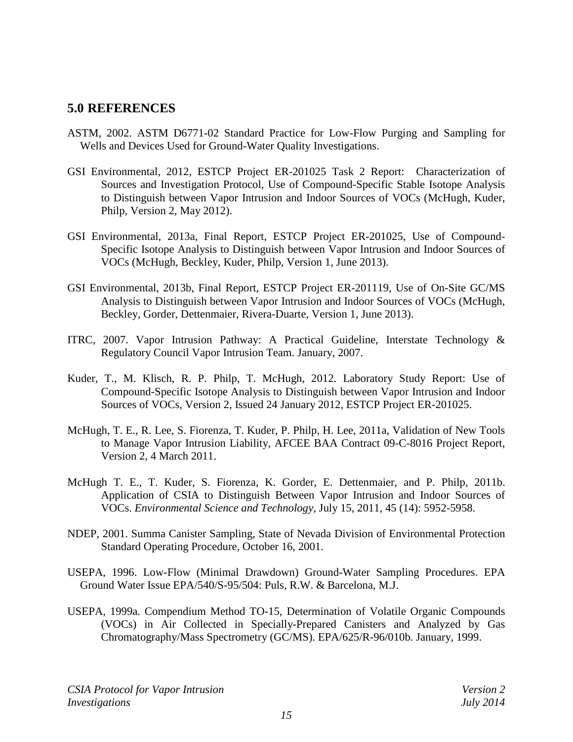#### <span id="page-18-0"></span>**5.0 REFERENCES**

- ASTM, 2002. ASTM D6771-02 Standard Practice for Low-Flow Purging and Sampling for Wells and Devices Used for Ground-Water Quality Investigations.
- GSI Environmental, 2012, ESTCP Project ER-201025 Task 2 Report: Characterization of Sources and Investigation Protocol, Use of Compound-Specific Stable Isotope Analysis to Distinguish between Vapor Intrusion and Indoor Sources of VOCs (McHugh, Kuder, Philp, Version 2, May 2012).
- GSI Environmental, 2013a, Final Report, ESTCP Project ER-201025, Use of Compound-Specific Isotope Analysis to Distinguish between Vapor Intrusion and Indoor Sources of VOCs (McHugh, Beckley, Kuder, Philp, Version 1, June 2013).
- GSI Environmental, 2013b, Final Report, ESTCP Project ER-201119, Use of On-Site GC/MS Analysis to Distinguish between Vapor Intrusion and Indoor Sources of VOCs (McHugh, Beckley, Gorder, Dettenmaier, Rivera-Duarte, Version 1, June 2013).
- ITRC, 2007. Vapor Intrusion Pathway: A Practical Guideline, Interstate Technology & Regulatory Council Vapor Intrusion Team. January, 2007.
- Kuder, T., M. Klisch, R. P. Philp, T. McHugh, 2012. Laboratory Study Report: Use of Compound-Specific Isotope Analysis to Distinguish between Vapor Intrusion and Indoor Sources of VOCs, Version 2, Issued 24 January 2012, ESTCP Project ER-201025.
- McHugh, T. E., R. Lee, S. Fiorenza, T. Kuder, P. Philp, H. Lee, 2011a, Validation of New Tools to Manage Vapor Intrusion Liability, AFCEE BAA Contract 09-C-8016 Project Report, Version 2, 4 March 2011.
- McHugh T. E., T. Kuder, S. Fiorenza, K. Gorder, E. Dettenmaier, and P. Philp, 2011b. Application of CSIA to Distinguish Between Vapor Intrusion and Indoor Sources of VOCs. *Environmental Science and Technology*, July 15, 2011, 45 (14): 5952-5958.
- NDEP, 2001. Summa Canister Sampling, State of Nevada Division of Environmental Protection Standard Operating Procedure, October 16, 2001.
- USEPA, 1996. Low-Flow (Minimal Drawdown) Ground-Water Sampling Procedures. EPA Ground Water Issue EPA/540/S-95/504: Puls, R.W. & Barcelona, M.J.
- USEPA, 1999a. Compendium Method TO-15, Determination of Volatile Organic Compounds (VOCs) in Air Collected in Specially-Prepared Canisters and Analyzed by Gas Chromatography/Mass Spectrometry (GC/MS). EPA/625/R-96/010b. January, 1999.